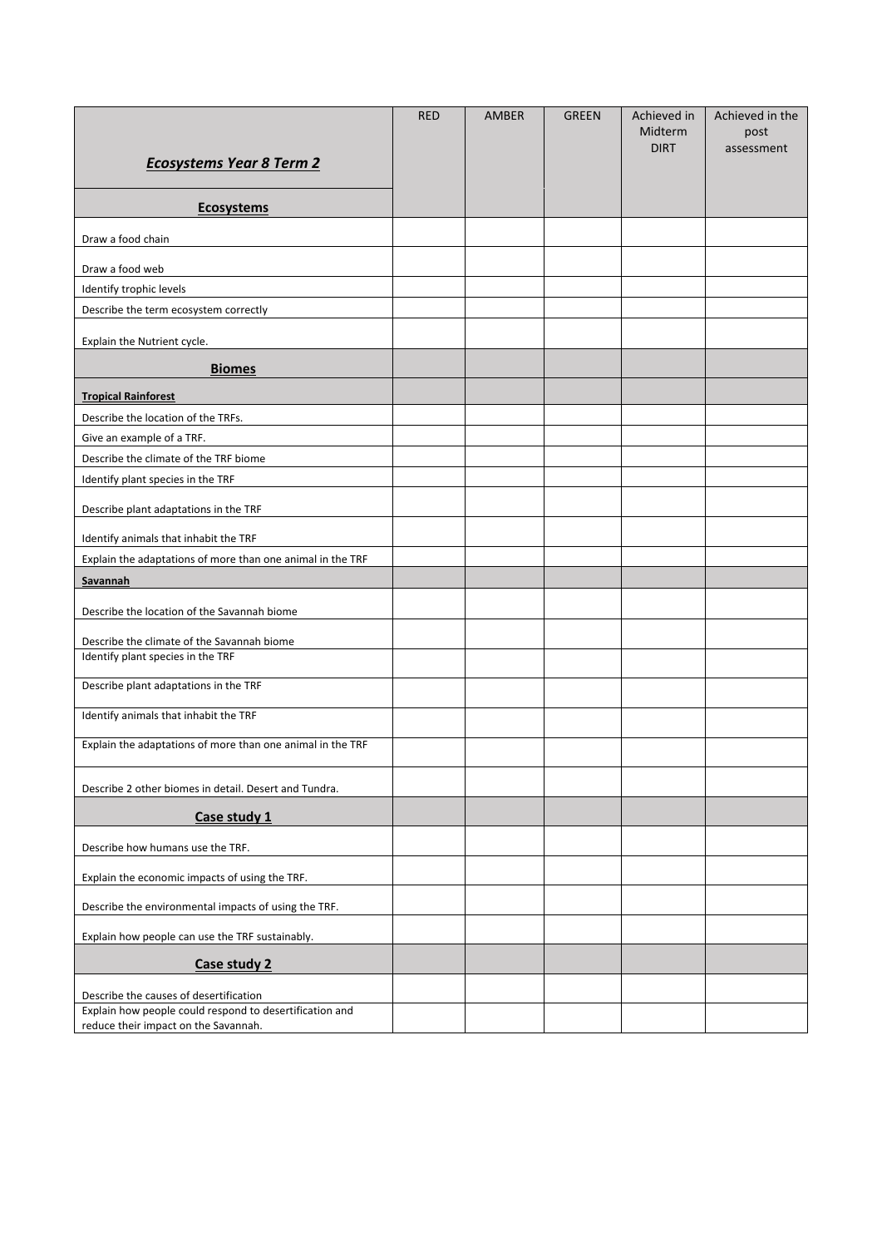| <b>Ecosystems Year 8 Term 2</b>                            | <b>RED</b> | <b>AMBER</b> | <b>GREEN</b> | Achieved in<br>Midterm<br><b>DIRT</b> | Achieved in the<br>post<br>assessment |
|------------------------------------------------------------|------------|--------------|--------------|---------------------------------------|---------------------------------------|
| <b>Ecosystems</b>                                          |            |              |              |                                       |                                       |
| Draw a food chain                                          |            |              |              |                                       |                                       |
| Draw a food web                                            |            |              |              |                                       |                                       |
| Identify trophic levels                                    |            |              |              |                                       |                                       |
| Describe the term ecosystem correctly                      |            |              |              |                                       |                                       |
| Explain the Nutrient cycle.                                |            |              |              |                                       |                                       |
| <b>Biomes</b>                                              |            |              |              |                                       |                                       |
| <b>Tropical Rainforest</b>                                 |            |              |              |                                       |                                       |
| Describe the location of the TRFs.                         |            |              |              |                                       |                                       |
| Give an example of a TRF.                                  |            |              |              |                                       |                                       |
| Describe the climate of the TRF biome                      |            |              |              |                                       |                                       |
| Identify plant species in the TRF                          |            |              |              |                                       |                                       |
| Describe plant adaptations in the TRF                      |            |              |              |                                       |                                       |
| Identify animals that inhabit the TRF                      |            |              |              |                                       |                                       |
| Explain the adaptations of more than one animal in the TRF |            |              |              |                                       |                                       |
| Savannah                                                   |            |              |              |                                       |                                       |
| Describe the location of the Savannah biome                |            |              |              |                                       |                                       |
| Describe the climate of the Savannah biome                 |            |              |              |                                       |                                       |
| Identify plant species in the TRF                          |            |              |              |                                       |                                       |
| Describe plant adaptations in the TRF                      |            |              |              |                                       |                                       |
| Identify animals that inhabit the TRF                      |            |              |              |                                       |                                       |
| Explain the adaptations of more than one animal in the TRF |            |              |              |                                       |                                       |
| Describe 2 other biomes in detail. Desert and Tundra.      |            |              |              |                                       |                                       |
| Case study 1                                               |            |              |              |                                       |                                       |
| Describe how humans use the TRF.                           |            |              |              |                                       |                                       |
| Explain the economic impacts of using the TRF.             |            |              |              |                                       |                                       |
| Describe the environmental impacts of using the TRF.       |            |              |              |                                       |                                       |
| Explain how people can use the TRF sustainably.            |            |              |              |                                       |                                       |
| Case study 2                                               |            |              |              |                                       |                                       |
| Describe the causes of desertification                     |            |              |              |                                       |                                       |
| Explain how people could respond to desertification and    |            |              |              |                                       |                                       |
| reduce their impact on the Savannah.                       |            |              |              |                                       |                                       |